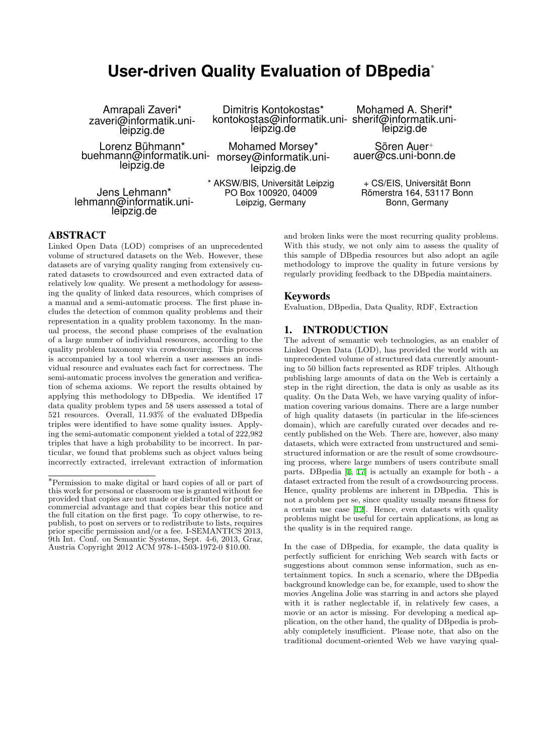# **User-driven Quality Evaluation of DBpedia***<sup>∗</sup>*

Dimitris Kontokostas\*

Amrapali Zaveri\* zaveri@informatik.unileipzig.de

Lorenz Bühmann\* buehmann@informatik.uni-morsey@informatik.unileipzig.de

Jens Lehmann\* lehmann@informatik.unileipzig.de

leipzig.de Mohamed Morsey\*

leipzig.de

\* AKSW/BIS, Universität Leipzig PO Box 100920, 04009 Leipzig, Germany

kontokostas@informatik.uni-sherif@informatik.uni-Mohamed A. Sherif\* leipzig.de

> Sören Auer<sup>+</sup> auer@cs.uni-bonn.de

+ CS/EIS, Universität Bonn Römerstra 164, 53117 Bonn Bonn, Germany

### ABSTRACT

Linked Open Data (LOD) comprises of an unprecedented volume of structured datasets on the Web. However, these datasets are of varying quality ranging from extensively curated datasets to crowdsourced and even extracted data of relatively low quality. We present a methodology for assessing the quality of linked data resources, which comprises of a manual and a semi-automatic process. The first phase includes the detection of common quality problems and their representation in a quality problem taxonomy. In the manual process, the second phase comprises of the evaluation of a large number of individual resources, according to the quality problem taxonomy via crowdsourcing. This process is accompanied by a tool wherein a user assesses an individual resource and evaluates each fact for correctness. The semi-automatic process involves the generation and verification of schema axioms. We report the results obtained by applying this methodology to DBpedia. We identified 17 data quality problem types and 58 users assessed a total of 521 resources. Overall, 11.93% of the evaluated DBpedia triples were identified to have some quality issues. Applying the semi-automatic component yielded a total of 222,982 triples that have a high probability to be incorrect. In particular, we found that problems such as object values being incorrectly extracted, irrelevant extraction of information

and broken links were the most recurring quality problems. With this study, we not only aim to assess the quality of this sample of DBpedia resources but also adopt an agile methodology to improve the quality in future versions by regularly providing feedback to the DBpedia maintainers.

### Keywords

Evaluation, DBpedia, Data Quality, RDF, Extraction

### 1. INTRODUCTION

The advent of semantic web technologies, as an enabler of Linked Open Data (LOD), has provided the world with an unprecedented volume of structured data currently amounting to 50 billion facts represented as RDF triples. Although publishing large amounts of data on the Web is certainly a step in the right direction, the data is only as usable as its quality. On the Data Web, we have varying quality of information covering various domains. There are a large number of high quality datasets (in particular in the life-sciences domain), which are carefully curated over decades and recently published on the Web. There are, however, also many datasets, which were extracted from unstructured and semistructured information or are the result of some crowdsourcing process, where large numbers of users contribute small parts. DBpedia [1, 17] is actually an example for both - a dataset extracted from the result of a crowdsourcing process. Hence, quality problems are inherent in DBpedia. This is not a problem per se, since quality usually means fitness for a certain use case [12]. Hence, even datasets with quality problems might b[e](#page-7-0) [usef](#page-7-1)ul for certain applications, as long as the quality is in the required range.

In the case of DBpedia, for example, the data quality is perfectly sufficient [for](#page-7-2) enriching Web search with facts or suggestions about common sense information, such as entertainment topics. In such a scenario, where the DBpedia background knowledge can be, for example, used to show the movies Angelina Jolie was starring in and actors she played with it is rather neglectable if, in relatively few cases, a movie or an actor is missing. For developing a medical application, on the other hand, the quality of DBpedia is probably completely insufficient. Please note, that also on the traditional document-oriented Web we have varying qual-

*<sup>∗</sup>*Permission to make digital or hard copies of all or part of this work for personal or classroom use is granted without fee provided that copies are not made or distributed for profit or commercial advantage and that copies bear this notice and the full citation on the first page. To copy otherwise, to republish, to post on servers or to redistribute to lists, requires prior specific permission and/or a fee. I-SEMANTICS 2013, 9th Int. Conf. on Semantic Systems, Sept. 4-6, 2013, Graz, Austria Copyright 2012 ACM 978-1-4503-1972-0 \$10.00.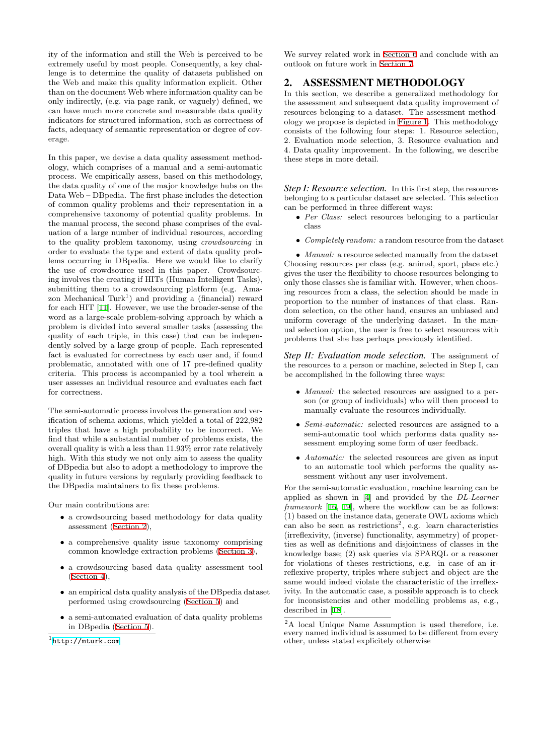ity of the information and still the Web is perceived to be extremely useful by most people. Consequently, a key challenge is to determine the quality of datasets published on the Web and make this quality information explicit. Other than on the document Web where information quality can be only indirectly, (e.g. via page rank, or vaguely) defined, we can have much more concrete and measurable data quality indicators for structured information, such as correctness of facts, adequacy of semantic representation or degree of coverage.

In this paper, we devise a data quality assessment methodology, which comprises of a manual and a semi-automatic process. We empirically assess, based on this methodology, the data quality of one of the major knowledge hubs on the Data Web – DBpedia. The first phase includes the detection of common quality problems and their representation in a comprehensive taxonomy of potential quality problems. In the manual process, the second phase comprises of the evaluation of a large number of individual resources, according to the quality problem taxonomy, using *crowdsourcing* in order to evaluate the type and extent of data quality problems occurring in DBpedia. Here we would like to clarify the use of crowdsource used in this paper. Crowdsourcing involves the creating if HITs (Human Intelligent Tasks), submitting them to a crowdsourcing platform (e.g. Amazon Mechanical Turk<sup>1</sup>) and providing a (financial) reward for each HIT [11]. However, we use the broader-sense of the word as a large-scale problem-solving approach by which a problem is divided into several smaller tasks (assessing the quality of each triple, in this case) that can be independently solved by a large group of people. Each represented fact is evalua[ted](#page-7-3) for correctness by each user and, if found problematic, annotated with one of 17 pre-defined quality criteria. This process is accompanied by a tool wherein a user assesses an individual resource and evaluates each fact for correctness.

The semi-automatic process involves the generation and verification of schema axioms, which yielded a total of 222,982 triples that have a high probability to be incorrect. We find that while a substantial number of problems exists, the overall quality is with a less than 11.93% error rate relatively high. With this study we not only aim to assess the quality of DBpedia but also to adopt a methodology to improve the quality in future versions by regularly providing feedback to the DBpedia maintainers to fix these problems.

Our main contributions are:

- *•* a crowdsourcing based methodology for data quality assessment (Section 2),
- a comprehensive quality issue taxonomy comprising common knowledge extraction problems (Section 3),
- *•* a crowdsou[rcing base](#page-1-0)d data quality assessment tool (Section 4),
- *•* an empirical data quality analysis of the D[Bpedia da](#page-2-0)taset performed using crowdsourcing (Section 5) and
- *•* [a semi-aut](#page-3-0)omated evaluation of data quality problems in DBpedia (Section 5).

We survey related work in Section 6 and conclude with an outlook on future work in Section 7.

### 2. ASSESSMENT METHODOLOGY

<span id="page-1-0"></span>In this section, we describe a generalized methodology for the assessment and subsequ[ent data q](#page-6-0)uality improvement of resources belonging to a [dataset. T](#page-6-1)he assessment methodology we propose is depicted in Figure 1. This methodology consists of the following four steps: 1. Resource selection, 2. Evaluation mode selection, 3. Resource evaluation and 4. Data quality improvement. In the following, we describe these steps in more detail.

*Step I: Resource selection.* In this first step, the resources belonging to a particular dataset are selected. This selection can be performed in three different ways:

- *• Per Class:* select resources belonging to a particular class
- *• Completely random:* a random resource from the dataset

*• Manual:* a resource selected manually from the dataset Choosing resources per class (e.g. animal, sport, place etc.) gives the user the flexibility to choose resources belonging to only those classes she is familiar with. However, when choosing resources from a class, the selection should be made in proportion to the number of instances of that class. Random selection, on the other hand, ensures an unbiased and uniform coverage of the underlying dataset. In the manual selection option, the user is free to select resources with problems that she has perhaps previously identified.

*Step II: Evaluation mode selection.* The assignment of the resources to a person or machine, selected in Step I, can be accomplished in the following three ways:

- *• Manual:* the selected resources are assigned to a person (or group of individuals) who will then proceed to manually evaluate the resources individually.
- *• Semi-automatic:* selected resources are assigned to a semi-automatic tool which performs data quality assessment employing some form of user feedback.
- *• Automatic:* the selected resources are given as input to an automatic tool which performs the quality assessment without any user involvement.

For the semi-automatic evaluation, machine learning can be applied as shown in [4] and provided by the *DL-Learner framework* [16, 19], where the workflow can be as follows: (1) based on the instance data, generate OWL axioms which can also be seen as restrictions<sup>2</sup>, e.g. learn characteristics (irreflexivity, (inverse) functionality, asymmetry) of properties as well as definiti[on](#page-7-4)s and disjointness of classes in the knowledge [base](#page-7-5); [\(2](#page-7-6)) ask queries via SPARQL or a reasoner for violations of theses restrictions, e.g. in case of an irreflexive property, triples where subject and object are the same would indeed violate the characteristic of the irreflexivity. In the automatic case, a possible approach is to check for inconsistencies and other modelling problems as, e.g., described in [18].

<sup>1</sup> http://mturk.com

<sup>2</sup>A local Unique Name Assumption is used therefore, i.e. every named individual is assumed to be different from every other, unless stated explicitely otherwise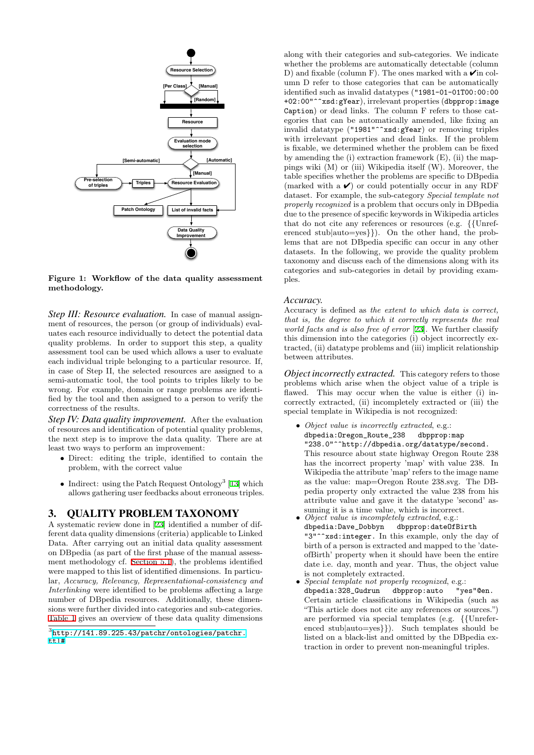

**Figure 1: Workflow of the data quality assessment methodology.**

*Step III: Resource evaluation.* In case of manual assignment of resources, the person (or group of individuals) evaluates each resource individually to detect the potential data quality problems. In order to support this step, a quality assessment tool can be used which allows a user to evaluate each individual triple belonging to a particular resource. If, in case of Step II, the selected resources are assigned to a semi-automatic tool, the tool points to triples likely to be wrong. For example, domain or range problems are identified by the tool and then assigned to a person to verify the correctness of the results.

*Step IV: Data quality improvement.* After the evaluation of resources and identification of potential quality problems, the next step is to improve the data quality. There are at least two ways to perform an improvement:

- *•* Direct: editing the triple, identified to contain the problem, with the correct value
- Indirect: using the Patch Request Ontology<sup>3</sup> [13] which allows gathering user feedbacks about erroneous triples.

### 3. QUALITY PROBLEM TAXONOMY

<span id="page-2-0"></span>A systematic review done in [23] identified a num[ber](#page-7-7) of different data quality dimensions (criteria) applicable to Linked Data. After carrying out an initial data quality assessment on DBpedia (as part of the first phase of the manual assessment methodology cf. Section 5.1), the problems identified were mapped to this list of ide[nti](#page-7-8)fied dimensions. In particular, *Accuracy, Relevancy, Representational-consistency and Interlinking* were identified to be problems affecting a large number of DBpedia resources. Additionally, these dimensions were further divi[ded into cate](#page-4-0)gories and sub-categories. Table 1 gives an overview of these data quality dimensions

along with their categories and sub-categories. We indicate whether the problems are automatically detectable (column D) and fixable (column F). The ones marked with a  $\checkmark$  in column D refer to those categories that can be automatically identified such as invalid datatypes ("1981-01-01T00:00:00 +02:00"^^xsd:gYear), irrelevant properties (dbpprop:image Caption) or dead links. The column F refers to those categories that can be automatically amended, like fixing an invalid datatype ("1981"^^xsd:gYear) or removing triples with irrelevant properties and dead links. If the problem is fixable, we determined whether the problem can be fixed by amending the (i) extraction framework (E), (ii) the mappings wiki (M) or (iii) Wikipedia itself (W). Moreover, the table specifies whether the problems are specific to DBpedia (marked with a  $\vee$ ) or could potentially occur in any RDF dataset. For example, the sub-category *Special template not properly recognized* is a problem that occurs only in DBpedia due to the presence of specific keywords in Wikipedia articles that do not cite any references or resources (e.g. *{{*Unreferenced stub*|*auto=yes*}}*). On the other hand, the problems that are not DBpedia specific can occur in any other datasets. In the following, we provide the quality problem taxonomy and discuss each of the dimensions along with its categories and sub-categories in detail by providing examples.

#### *Accuracy.*

Accuracy is defined as *the extent to which data is correct, that is, the degree to which it correctly represents the real world facts and is also free of error* [23]. We further classify this dimension into the categories (i) object incorrectly extracted, (ii) datatype problems and (iii) implicit relationship between attributes.

*Object incorrectly extracted.* Thi[s ca](#page-7-8)tegory refers to those problems which arise when the object value of a triple is flawed. This may occur when the value is either (i) incorrectly extracted, (ii) incompletely extracted or (iii) the special template in Wikipedia is not recognized:

- *• Object value is incorrectly extracted*, e.g.: dbpedia:Oregon\_Route\_238 dbpprop:map "238.0"^^http://dbpedia.org/datatype/second. This resource about state highway Oregon Route 238 has the incorrect property 'map' with value 238. In Wikipedia the attribute 'map' refers to the image name as the value: map=Oregon Route 238.svg. The DBpedia property only extracted the value 238 from his attribute value and gave it the datatype 'second' as-
- suming it is a time value, which is incorrect.
- *• Object value is incompletely extracted*, e.g.: dbpedia:Dave\_Dobbyn dbpprop:dateOfBirth "3"<sup>^</sup>xsd:integer. In this example, only the day of birth of a person is extracted and mapped to the 'dateofBirth' property when it should have been the entire date i.e. day, month and year. Thus, the object value is not completely extracted.
- *• Special template not properly recognized*, e.g.: dbpedia:328\_Gudrun dbpprop:auto "yes"@en. Certain article classifications in Wikipedia (such as "This article does not cite any references or sources.") are performed via special templates (e.g. *{{*Unreferenced stub*|*auto=yes*}}*). Such templates should be listed on a black-list and omitted by the DBpedia extraction in order to prevent non-meaningful triples.

 $3$ http://141.89.225.43/patchr/ontologies/patchr. ttl#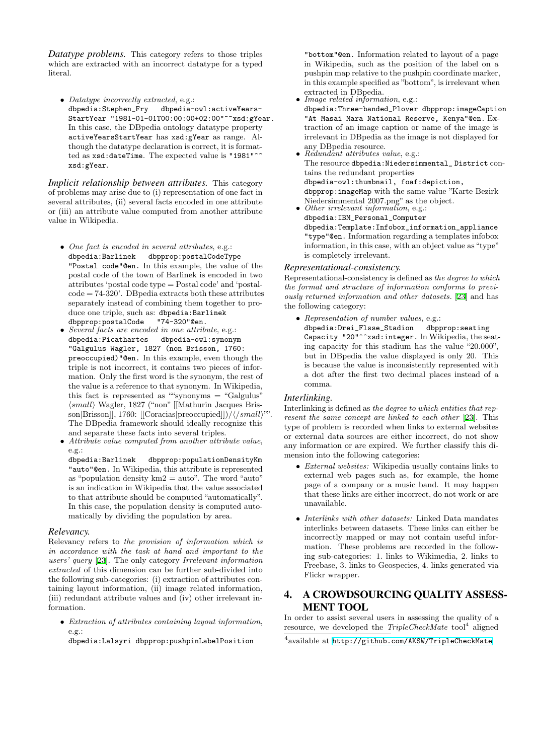*Datatype problems.* This category refers to those triples which are extracted with an incorrect datatype for a typed literal.

*• Datatype incorrectly extracted*, e.g.: dbpedia:Stephen\_Fry dbpedia-owl:activeYears-StartYear "1981-01-01T00:00:00+02:00"^^xsd:gYear. In this case, the DBpedia ontology datatype property activeYearsStartYear has xsd:gYear as range. Although the datatype declaration is correct, it is formatted as xsd:dateTime. The expected value is "1981"^^ xsd:gYear.

*Implicit relationship between attributes.* This category of problems may arise due to (i) representation of one fact in several attributes, (ii) several facts encoded in one attribute or (iii) an attribute value computed from another attribute value in Wikipedia.

- *• One fact is encoded in several attributes*, e.g.: dbpedia:Barlinek dbpprop:postalCodeType "Postal code"@en. In this example, the value of the postal code of the town of Barlinek is encoded in two attributes 'postal code type = Postal code' and 'postal $code = 74-320'$ . DB pedia extracts both these attributes separately instead of combining them together to produce one triple, such as: dbpedia:Barlinek<br>dbpprop:postalCode "74-320"@en. dbpprop:postalCode
- *• Several facts are encoded in one attribute*, e.g.: dbpedia:Picathartes dbpedia-owl:synonym "Galgulus Wagler, 1827 (non Brisson, 1760: preoccupied)"@en. In this example, even though the triple is not incorrect, it contains two pieces of information. Only the first word is the synonym, the rest of the value is a reference to that synonym. In Wikipedia, this fact is represented as ""synonyms = "Galgulus" *⟨small⟩* Wagler, 1827 ("non" [[Mathurin Jacques Brisson*|*Brisson]], 1760: [[Coracias*|*preoccupied]])/*⟨/small⟩*"". The DBpedia framework should ideally recognize this and separate these facts into several triples.
- *• Attribute value computed from another attribute value*, e.g.:

dbpedia:Barlinek dbpprop:populationDensityKm "auto"@en. In Wikipedia, this attribute is represented as "population density  $km2 = auto$ ". The word "auto" is an indication in Wikipedia that the value associated to that attribute should be computed "automatically". In this case, the population density is computed automatically by dividing the population by area.

#### *Relevancy.*

Relevancy refers to *the provision of information which is in accordance with the task at hand and important to the users' query* [23]. The only category *Irrelevant information extracted* of this dimension can be further sub-divided into the following sub-categories: (i) extraction of attributes containing layout information, (ii) image related information, (iii) redundant attribute values and (iv) other irrelevant information.

*• Extraction of attributes containing layout information*, e.g.:

dbpedia:Lalsyri dbpprop:pushpinLabelPosition

"bottom"@en. Information related to layout of a page in Wikipedia, such as the position of the label on a pushpin map relative to the pushpin coordinate marker, in this example specified as "bottom", is irrelevant when extracted in DBpedia.

*• Image related information*, e.g.:

dbpedia:Three-banded\_Plover dbpprop:imageCaption "At Masai Mara National Reserve, Kenya"@en. Extraction of an image caption or name of the image is irrelevant in DBpedia as the image is not displayed for any DBpedia resource.

*• Redundant attributes value*, e.g.:

The resource dbpedia:Niedersimmental\_ District contains the redundant properties dbpedia-owl:thumbnail, foaf:depiction, dbpprop:imageMap with the same value "Karte Bezirk Niedersimmental 2007.png" as the object.

*• Other irrelevant information*, e.g.: dbpedia:IBM\_Personal\_Computer dbpedia:Template:Infobox\_information\_appliance "type"@en. Information regarding a templates infobox information, in this case, with an object value as "type" is completely irrelevant.

### *Representational-consistency.*

Representational-consistency is defined as *the degree to which the format and structure of information conforms to previously returned information and other datasets.* [23] and has the following category:

*• Representation of number values*, e.g.: dbpedia:Drei\_Flsse\_Stadion dbpprop:seating Capacity "20"^^xsd:integer. In Wikipe[dia](#page-7-8), the seating capacity for this stadium has the value "20.000", but in DBpedia the value displayed is only 20. This is because the value is inconsistently represented with a dot after the first two decimal places instead of a comma.

### *Interlinking.*

Interlinking is defined as *the degree to which entities that represent the same concept are linked to each other* [23]. This type of problem is recorded when links to external websites or external data sources are either incorrect, do not show any information or are expired. We further classify this dimension into the following categories:

- *• External websites:* Wikipedia usually contai[ns l](#page-7-8)inks to external web pages such as, for example, the home page of a company or a music band. It may happen that these links are either incorrect, do not work or are unavailable.
- *• Interlinks with other datasets:* Linked Data mandates interlinks between datasets. These links can either be incorrectly mapped or may not contain useful information. These problems are recorded in the following sub-categories: 1. links to Wikimedia, 2. links to Freebase, 3. links to Geospecies, 4. links generated via Flickr wrapper.

# 4. A CROWDSOURCING QUALITY ASSESS-MENT TOOL

In order to assist several users in assessing the quality of a resource, we developed the *TripleCheckMate* tool<sup>4</sup> aligned

<span id="page-3-0"></span> $^4$ available at <code>http://github.com/AKSW/TripleCheckMate</code>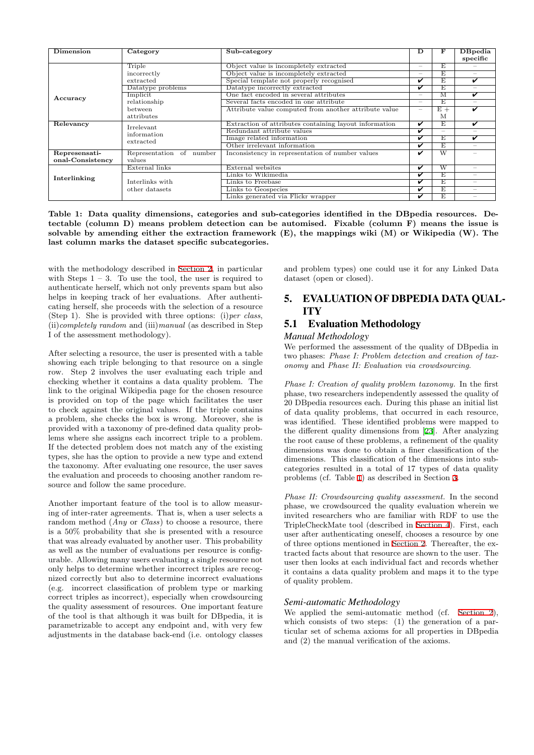| Dimension        | Category                 | Sub-category                                           | D                               | F                        | <b>DB</b> pedia          |
|------------------|--------------------------|--------------------------------------------------------|---------------------------------|--------------------------|--------------------------|
|                  |                          |                                                        |                                 |                          | specific                 |
|                  | Triple                   | Object value is incompletely extracted                 | $\hspace{0.1mm}-\hspace{0.1mm}$ | E                        | -                        |
|                  | incorrectly              | Object value is incompletely extracted                 | $\hspace{0.1mm}-\hspace{0.1mm}$ | E.                       | -                        |
|                  | extracted                | Special template not properly recognised               | ✓                               | E.                       | ✓                        |
| Accuracy         | Datatype problems        | Datatype incorrectly extracted                         | ⊽                               | E                        | $\overline{\phantom{a}}$ |
|                  | Implicit                 | One fact encoded in several attributes                 |                                 | м                        | ✓                        |
|                  | relationship             | Several facts encoded in one attribute                 |                                 | E                        | -                        |
|                  | between                  | Attribute value computed from another attribute value  | $\hspace{0.1mm}-\hspace{0.1mm}$ | $E +$                    | ✓                        |
|                  | attributes               |                                                        |                                 | M                        |                          |
| Relevancy        | Irrelevant               | Extraction of attributes containing layout information | V                               | E.                       | v                        |
|                  | information              | Redundant attribute values                             | ✓                               | $\overline{\phantom{a}}$ |                          |
|                  | extracted                | Image related information                              | ⊽                               | E                        | ✓                        |
|                  |                          | Other irrelevant information                           | ✓                               | E                        | -                        |
| Represensati-    | Representation of number | Inconsistency in representation of number values       | V                               | $\overline{\text{W}}$    |                          |
| onal-Consistency | values                   |                                                        |                                 |                          |                          |
| Interlinking     | External links           | External websites                                      | ✓                               | W                        | -                        |
|                  |                          | Links to Wikimedia                                     | v                               | E                        | -                        |
|                  | Interlinks with          | Links to Freebase                                      | ✓                               | E                        | -                        |
|                  | other datasets           | Links to Geospecies                                    | ✓                               | Ε                        | -                        |
|                  |                          | Links generated via Flickr wrapper                     | ✓                               | E                        | -                        |

**Table 1: Data quality dimensions, categories and sub-categories identified in the DBpedia resources. Detectable (column D) means problem detection can be automised. Fixable (column F) means the issue is solvable by amending either the extraction framework (E), the mappings wiki (M) or Wikipedia (W). The last column marks the dataset specific subcategories.**

with the methodology described in Section 2, in particular with Steps  $1 - 3$ . To use the tool, the user is required to authenticate herself, which not only prevents spam but also helps in keeping track of her evaluations. After authenticating herself, she proceeds with the selection of a resource (Step 1). She is provided with thr[ee options](#page-1-0): (i)*per class*, (ii)*completely random* and (iii)*manual* (as described in Step I of the assessment methodology).

After selecting a resource, the user is presented with a table showing each triple belonging to that resource on a single row. Step 2 involves the user evaluating each triple and checking whether it contains a data quality problem. The link to the original Wikipedia page for the chosen resource is provided on top of the page which facilitates the user to check against the original values. If the triple contains a problem, she checks the box is wrong. Moreover, she is provided with a taxonomy of pre-defined data quality problems where she assigns each incorrect triple to a problem. If the detected problem does not match any of the existing types, she has the option to provide a new type and extend the taxonomy. After evaluating one resource, the user saves the evaluation and proceeds to choosing another random resource and follow the same procedure.

Another important feature of the tool is to allow measuring of inter-rater agreements. That is, when a user selects a random method (*Any* or *Class*) to choose a resource, there is a 50% probability that she is presented with a resource that was already evaluated by another user. This probability as well as the number of evaluations per resource is configurable. Allowing many users evaluating a single resource not only helps to determine whether incorrect triples are recognized correctly but also to determine incorrect evaluations (e.g. incorrect classification of problem type or marking correct triples as incorrect), especially when crowdsourcing the quality assessment of resources. One important feature of the tool is that although it was built for DBpedia, it is parametrizable to accept any endpoint and, with very few adjustments in the database back-end (i.e. ontology classes

<span id="page-4-1"></span>and problem types) one could use it for any Linked Data dataset (open or closed).

# 5. EVALUATION OF DBPEDIA DATA QUAL-ITY

# 5.1 Evaluation Methodology

### *Manual Methodology*

We performed the assessment of the quality of DBpedia in two phases: *Phase I: Problem detection and creation of taxonomy* and *Phase II: Evaluation via crowdsourcing*.

<span id="page-4-0"></span>*Phase I: Creation of quality problem taxonomy.* In the first phase, two researchers independently assessed the quality of 20 DBpedia resources each. During this phase an initial list of data quality problems, that occurred in each resource, was identified. These identified problems were mapped to the different quality dimensions from [23]. After analyzing the root cause of these problems, a refinement of the quality dimensions was done to obtain a finer classification of the dimensions. This classification of the dimensions into subcategories resulted in a total of 17 types of data quality problems (cf. Table 1) as described in [Sec](#page-7-8)tion 3.

*Phase II: Crowdsourcing quality assessment.* In the second phase, we crowdsourced the quality evaluation wherein we invited researchers who are familiar with RDF to use the TripleCheckMate to[ol](#page-4-1) (described in Section 4)[.](#page-2-0) First, each user after authenticating oneself, chooses a resource by one of three options mentioned in Section 2. Thereafter, the extracted facts about that resource are shown to the user. The user then looks at each individual fact and records whether it contains a data quality problem a[nd maps](#page-3-0) it to the type of quality problem.

### *Semi-automatic Methodology*

We applied the semi-automatic method (cf. Section 2), which consists of two steps: (1) the generation of a particular set of schema axioms for all properties in DBpedia and (2) the manual verification of the axioms.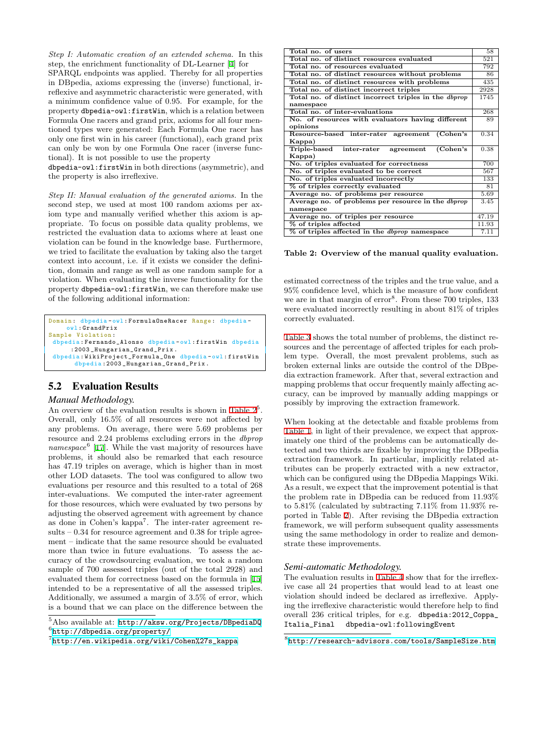*Step I: Automatic creation of an extended schema.* In this step, the enrichment functionality of DL-Learner [4] for SPARQL endpoints was applied. Thereby for all properties in DBpedia, axioms expressing the (inverse) functional, irreflexive and asymmetric characteristic were generated, with a minimum confidence value of 0.95. For example, for the property dbpedia-owl:firstWin, which is a relatio[n](#page-7-4) between Formula One racers and grand prix, axioms for all four mentioned types were generated: Each Formula One racer has only one first win in his career (functional), each grand prix can only be won by one Formula One racer (inverse functional). It is not possible to use the property

dbpedia-owl:firstWin in both directions (asymmetric), and the property is also irreflexive.

*Step II: Manual evaluation of the generated axioms.* In the second step, we used at most 100 random axioms per axiom type and manually verified whether this axiom is appropriate. To focus on possible data quality problems, we restricted the evaluation data to axioms where at least one violation can be found in the knowledge base. Furthermore, we tried to facilitate the evaluation by taking also the target context into account, i.e. if it exists we consider the definition, domain and range as well as one random sample for a violation. When evaluating the inverse functionality for the property dbpedia-owl:firstWin, we can therefore make use of the following additional information:

```
Domain: dbpedia-owl: FormulaOneRacer Range: dbpedia-
    owl : GrandPrix
Sample Violation :
 dbpedia : Fernando_Alonso dbpedia - owl : firstWin dbpedia
      :2003 _Hungarian_Grand_Prix .
 dbpedia : WikiProject_Formula_One dbpedia - owl : firstWin
       dbpedia :2003 _Hungarian_Grand_Prix .
```
# 5.2 Evaluation Results

### *Manual Methodology.*

An overview of the evaluation results is shown in Table  $2^5$ . Overall, only 16.5% of all resources were not affected by any problems. On average, there were 5.69 problems per resource and 2.24 problems excluding errors in the *dbprop namespace*<sup>6</sup> [17]. While the vast majority of resources have problems, it should also be remarked that each [resourc](#page-5-0)e has 47.19 triples on average, which is higher than in most other LOD datasets. The tool was configured to allow two evaluations per resource and this resulted to a total of 268 inter-evaluati[on](#page-7-1)s. We computed the inter-rater agreement for those resources, which were evaluated by two persons by adjusting the observed agreement with agreement by chance as done in Cohen's kappa<sup>7</sup>. The inter-rater agreement results – 0.34 for resource agreement and 0.38 for triple agreement – indicate that the same resource should be evaluated more than twice in future evaluations. To assess the accuracy of the crowdsourcing evaluation, we took a random sample of 700 assessed triples (out of the total 2928) and evaluated them for correctness based on the formula in [15] intended to be a representative of all the assessed triples. Additionally, we assumed a margin of 3.5% of error, which is a bound that we can place on the difference between the

| Total no. of users                                           | 58    |
|--------------------------------------------------------------|-------|
| Total no. of distinct resources evaluated                    | 521   |
| Total no. of resources evaluated                             | 792   |
| Total no. of distinct resources without problems             | 86    |
| Total no. of distinct resources with problems                | 435   |
| Total no. of distinct incorrect triples                      | 2928  |
| Total no. of distinct incorrect triples in the <i>dbprop</i> | 1745  |
| namespace                                                    |       |
| Total no. of inter-evaluations                               | 268   |
| No. of resources with evaluators having different            | 89    |
| opinions                                                     |       |
| Resource-based inter-rater agreement (Cohen's                | 0.34  |
| Kappa)                                                       |       |
| Triple-based inter-rater<br>(Cohen's<br>agreement            | 0.38  |
| Kappa)                                                       |       |
| No. of triples evaluated for correctness                     | 700   |
| No. of triples evaluated to be correct                       | 567   |
| No. of triples evaluated incorrectly                         | 133   |
| % of triples correctly evaluated                             | 81    |
| Average no. of problems per resource                         | 5.69  |
| Average no. of problems per resource in the <i>dbprop</i>    | 3.45  |
| namespace                                                    |       |
| Average no. of triples per resource                          | 47.19 |
| % of triples affected                                        | 11.93 |
| % of triples affected in the <i>dbprop</i> namespace         | 7.11  |

#### **Table 2: Overview of the manual quality evaluation.**

<span id="page-5-0"></span>estimated correctness of the triples and the true value, and a 95% confidence level, which is the measure of how confident we are in that margin of error<sup>8</sup>. From these 700 triples, 133 were evaluated incorrectly resulting in about 81% of triples correctly evaluated.

Table 3 shows the total number of problems, the distinct resources and the percentage of affected triples for each problem type. Overall, the most prevalent problems, such as broken external links are outside the control of the DBpedia extraction framework. After that, several extraction and [mappin](#page-6-2)g problems that occur frequently mainly affecting accuracy, can be improved by manually adding mappings or possibly by improving the extraction framework.

When looking at the detectable and fixable problems from Table 1, in light of their prevalence, we expect that approximately one third of the problems can be automatically detected and two thirds are fixable by improving the DBpedia extraction framework. In particular, implicitly related attributes can be properly extracted with a new extractor, [which ca](#page-4-1)n be configured using the DBpedia Mappings Wiki. As a result, we expect that the improvement potential is that the problem rate in DBpedia can be reduced from 11.93% to 5.81% (calculated by subtracting 7.11% from 11.93% reported in Table 2). After revising the DBpedia extraction framework, we will perform subsequent quality assessments using the same methodology in order to realize and demonstrate these improvements.

#### *Semi-automati[c M](#page-5-0)ethodology.*

The evaluation results in Table 4 show that for the irreflexive case all 24 properties that would lead to at least one violation should indeed be declared as irreflexive. Applying the irreflexive characteristic would therefore help to find overall 236 critical triples, for e.g. dbpedia:2012\_Coppa\_ Italia\_Final dbpedia[-owl:fo](#page-7-10)llowingEvent

 ${}^{8}$ http://research-advisors.com/tools/SampleSize.htm

<sup>5</sup>Also available at: http://aksw.org/Projects/DBpedi[aDQ](#page-7-9) 6 http://dbpedia.org/property/

<sup>7</sup> http://en.wikipedia.org/wiki/Cohen%27s\_kappa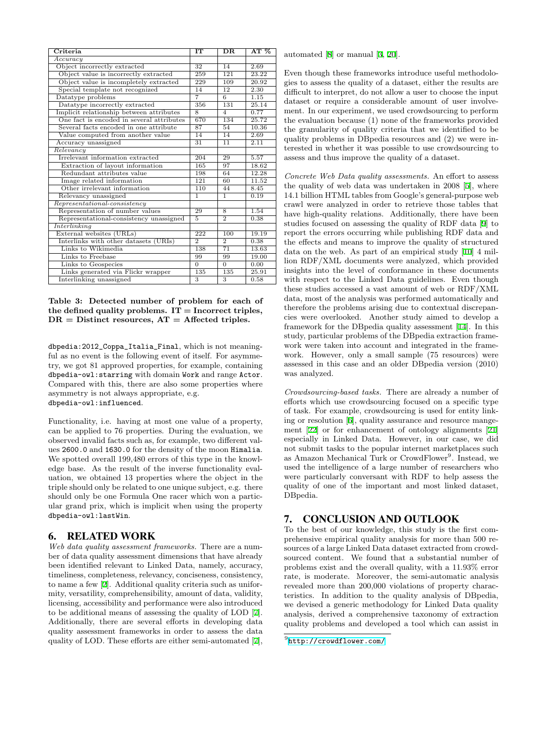| Criteria                                  | IТ             | $_{\rm DR}$             | AT~%  |
|-------------------------------------------|----------------|-------------------------|-------|
| Accuracy                                  |                |                         |       |
| Object incorrectly extracted              | 32             | 14                      | 2.69  |
| Object value is incorrectly extracted     | 259            | 121                     | 23.22 |
| Object value is incompletely extracted    | 229            | 109                     | 20.92 |
| Special template not recognized           | 14             | 12                      | 2.30  |
| Datatype problems                         | $\overline{7}$ | $\overline{6}$          | 1.15  |
| Datatype incorrectly extracted            | 356            | 131                     | 25.14 |
| Implicit relationship between attributes  | $\overline{8}$ | $\overline{4}$          | 0.77  |
| One fact is encoded in several attributes | 670            | 134                     | 25.72 |
| Several facts encoded in one attribute    | 87             | 54                      | 10.36 |
| Value computed from another value         | 14             | 14                      | 2.69  |
| Accuracy unassigned                       | 31             | 11                      | 2.11  |
| Relevantcy                                |                |                         |       |
| Irrelevant information extracted          | 204            | 29                      | 5.57  |
| Extraction of layout information          | 165            | 97                      | 18.62 |
| Redundant attributes value                | 198            | 64                      | 12.28 |
| Image related information                 | 121            | 60                      | 11.52 |
| Other irrelevant information              | 110            | 44                      | 8.45  |
| Relevancy unassigned                      | 1              | 1                       | 0.19  |
| $Representational-consistency$            |                |                         |       |
| Representation of number values           | 29             | 8                       | 1.54  |
| Representational-consistency unassigned   | 5              | $\overline{2}$          | 0.38  |
| Interlinking                              |                |                         |       |
| External websites (URLs)                  | 222            | 100                     | 19.19 |
| Interlinks with other datasets (URIs)     | $\overline{2}$ | $\overline{2}$          | 0.38  |
| Links to Wikimedia                        | 138            | 71                      | 13.63 |
| Links to Freebase                         | 99             | 99                      | 19.00 |
| Links to Geospecies                       | $\overline{0}$ | $\Omega$                | 0.00  |
| Links generated via Flickr wrapper        | 135            | 135                     | 25.91 |
| <b>Interlinking</b> unassigned            | $\overline{3}$ | $\overline{\mathbf{3}}$ | 0.58  |

### **Table 3: Detected number of problem for each of the defined quality problems. IT = Incorrect triples, DR = Distinct resources, AT = Affected triples.**

<span id="page-6-2"></span>dbpedia:2012\_Coppa\_Italia\_Final, which is not meaningful as no event is the following event of itself. For asymmetry, we got 81 approved properties, for example, containing dbpedia-owl:starring with domain Work and range Actor. Compared with this, there are also some properties where asymmetry is not always appropriate, e.g. dbpedia-owl:influenced.

Functionality, i.e. having at most one value of a property, can be applied to 76 properties. During the evaluation, we observed invalid facts such as, for example, two different values 2600.0 and 1630.0 for the density of the moon Himalia. We spotted overall 199,480 errors of this type in the knowledge base. As the result of the inverse functionality evaluation, we obtained 13 properties where the object in the triple should only be related to one unique subject, e.g. there should only be one Formula One racer which won a particular grand prix, which is implicit when using the property dbpedia-owl:lastWin.

### 6. RELATED WORK

<span id="page-6-0"></span>*Web data quality assessment frameworks.* There are a number of data quality assessment dimensions that have already been identified relevant to Linked Data, namely, accuracy, timeliness, completeness, relevancy, conciseness, consistency, to name a few [2]. Additional quality criteria such as uniformity, versatility, comprehensibility, amount of data, validity, licensing, accessibility and performance were also introduced to be additional means of assessing the quality of LOD [7]. Additionally, there are several efforts in developing data quality assess[me](#page-7-11)nt frameworks in order to assess the data quality of LOD. These efforts are either semi-automated [7], automated [8] or manual [3, 20].

Even though these frameworks introduce useful methodologies to assess the quality of a dataset, either the results are difficult to interpret, do not allow a user to choose the input dataset or [re](#page-7-12)quire a cons[id](#page-7-13)[era](#page-7-14)ble amount of user involvement. In our experiment, we used crowdsourcing to perform the evaluation because (1) none of the frameworks provided the granularity of quality criteria that we identified to be quality problems in DBpedia resources and (2) we were interested in whether it was possible to use crowdsourcing to assess and thus improve the quality of a dataset.

*Concrete Web Data quality assessments.* An effort to assess the quality of web data was undertaken in 2008 [5], where 14.1 billion HTML tables from Google's general-purpose web crawl were analyzed in order to retrieve those tables that have high-quality relations. Additionally, there have been studies focused on assessing the quality of RDF data [9] to report the errors occurring while publishing RDF [d](#page-7-15)ata and the effects and means to improve the quality of structured data on the web. As part of an empirical study [10] 4 million RDF/XML documents were analyzed, which provided insights into the level of conformance in these docu[me](#page-7-16)nts with respect to the Linked Data guidelines. Even though these studies accessed a vast amount of web or RDF/XML data, most of the analysis was performed automat[ica](#page-7-17)lly and therefore the problems arising due to contextual discrepancies were overlooked. Another study aimed to develop a framework for the DBpedia quality assessment [14]. In this study, particular problems of the DBpedia extraction framework were taken into account and integrated in the framework. However, only a small sample (75 resources) were assessed in this case and an older DBpedia ver[sio](#page-7-18)n (2010) was analyzed.

*Crowdsourcing-based tasks.* There are already a number of efforts which use crowdsourcing focused on a specific type of task. For example, crowdsourcing is used for entity linking or resolution [6], quality assurance and resource mangement [22] or for enhancement of ontology alignments [21] especially in Linked Data. However, in our case, we did not submit tasks to the popular internet marketplaces such as Amazon Mechanical Turk or CrowdFlower<sup>9</sup>. Instead, we used the intellige[nc](#page-7-19)e of a large number of researchers who were [part](#page-7-20)icularly conversant with RDF to help assess [the](#page-7-21) quality of one of the important and most linked dataset, DBpedia.

## 7. CONCLUSION AND OUTLOOK

<span id="page-6-1"></span>To the best of our knowledge, this study is the first comprehensive empirical quality analysis for more than 500 resources of a large Linked Data dataset extracted from crowdsourced content. We found that a substantial number of problems exist and the overall quality, with a 11.93% error rate, is moderate. Moreover, the semi-automatic analysis revealed more than 200,000 violations of property characteristics. In addition to the quality analysis of DBpedia, we devised a generic methodology for Linked Data quality analysis, derived a comprehensive taxonomy of extraction quality problems and developed a tool which can assist in

 $^{9}$ http://crowdflower.com/